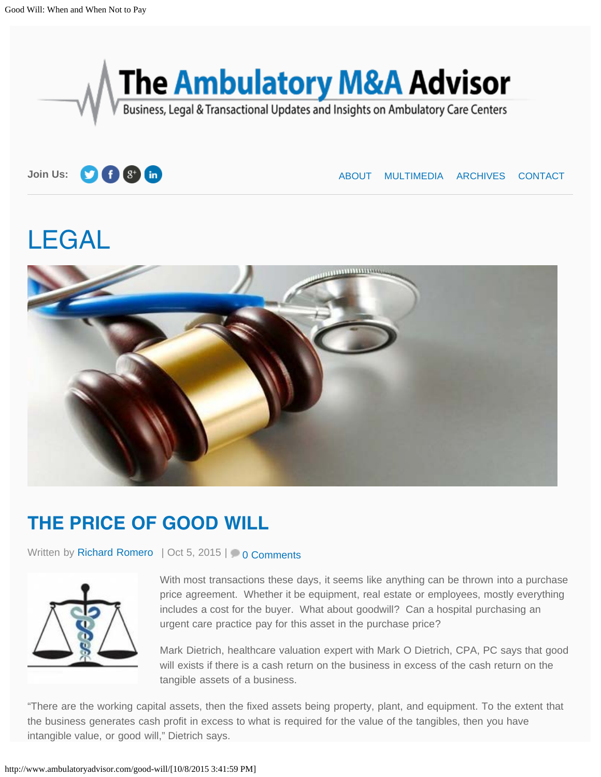<span id="page-0-0"></span>



**Join Us:**  $\bullet$  **f**  $\bullet$  **in [ABOUT](http://www.ambulatoryadvisor.com/about/) MULTIMEDIA [ARCHIVES](http://www.ambulatoryadvisor.com/archives-selling-urgent-care-center/) [CONTACT](http://www.ambulatoryadvisor.com/contact/)** 

# [LEGAL](http://www.ambulatoryadvisor.com/category/legal/)



## **THE PRICE OF GOOD WILL**

Written by [Richard Romero](http://www.ambulatoryadvisor.com/author/richard/) | Oct 5, 2015 | [0 Comments](#page-4-0)



With most transactions these days, it seems like anything can be thrown into a purchase price agreement. Whether it be equipment, real estate or employees, mostly everything includes a cost for the buyer. What about goodwill? Can a hospital purchasing an urgent care practice pay for this asset in the purchase price?

Mark Dietrich, healthcare valuation expert with Mark O Dietrich, CPA, PC says that good will exists if there is a cash return on the business in excess of the cash return on the tangible assets of a business.

"There are the working capital assets, then the fixed assets being property, plant, and equipment. To the extent that the business generates cash profit in excess to what is required for the value of the tangibles, then you have intangible value, or good will," Dietrich says.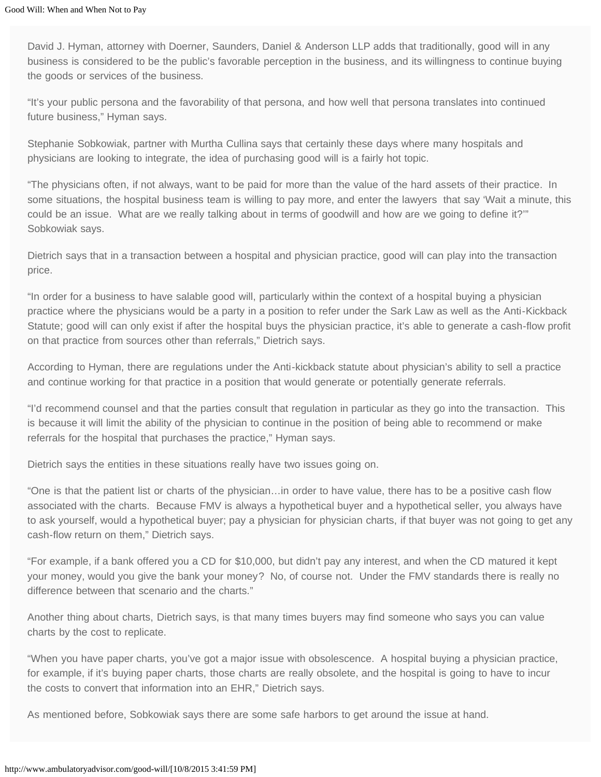David J. Hyman, attorney with Doerner, Saunders, Daniel & Anderson LLP adds that traditionally, good will in any business is considered to be the public's favorable perception in the business, and its willingness to continue buying the goods or services of the business.

"It's your public persona and the favorability of that persona, and how well that persona translates into continued future business," Hyman says.

Stephanie Sobkowiak, partner with Murtha Cullina says that certainly these days where many hospitals and physicians are looking to integrate, the idea of purchasing good will is a fairly hot topic.

"The physicians often, if not always, want to be paid for more than the value of the hard assets of their practice. In some situations, the hospital business team is willing to pay more, and enter the lawyers that say 'Wait a minute, this could be an issue. What are we really talking about in terms of goodwill and how are we going to define it?'" Sobkowiak says.

Dietrich says that in a transaction between a hospital and physician practice, good will can play into the transaction price.

"In order for a business to have salable good will, particularly within the context of a hospital buying a physician practice where the physicians would be a party in a position to refer under the Sark Law as well as the Anti-Kickback Statute; good will can only exist if after the hospital buys the physician practice, it's able to generate a cash-flow profit on that practice from sources other than referrals," Dietrich says.

According to Hyman, there are regulations under the Anti-kickback statute about physician's ability to sell a practice and continue working for that practice in a position that would generate or potentially generate referrals.

"I'd recommend counsel and that the parties consult that regulation in particular as they go into the transaction. This is because it will limit the ability of the physician to continue in the position of being able to recommend or make referrals for the hospital that purchases the practice," Hyman says.

Dietrich says the entities in these situations really have two issues going on.

"One is that the patient list or charts of the physician…in order to have value, there has to be a positive cash flow associated with the charts. Because FMV is always a hypothetical buyer and a hypothetical seller, you always have to ask yourself, would a hypothetical buyer; pay a physician for physician charts, if that buyer was not going to get any cash-flow return on them," Dietrich says.

"For example, if a bank offered you a CD for \$10,000, but didn't pay any interest, and when the CD matured it kept your money, would you give the bank your money? No, of course not. Under the FMV standards there is really no difference between that scenario and the charts."

Another thing about charts, Dietrich says, is that many times buyers may find someone who says you can value charts by the cost to replicate.

"When you have paper charts, you've got a major issue with obsolescence. A hospital buying a physician practice, for example, if it's buying paper charts, those charts are really obsolete, and the hospital is going to have to incur the costs to convert that information into an EHR," Dietrich says.

As mentioned before, Sobkowiak says there are some safe harbors to get around the issue at hand.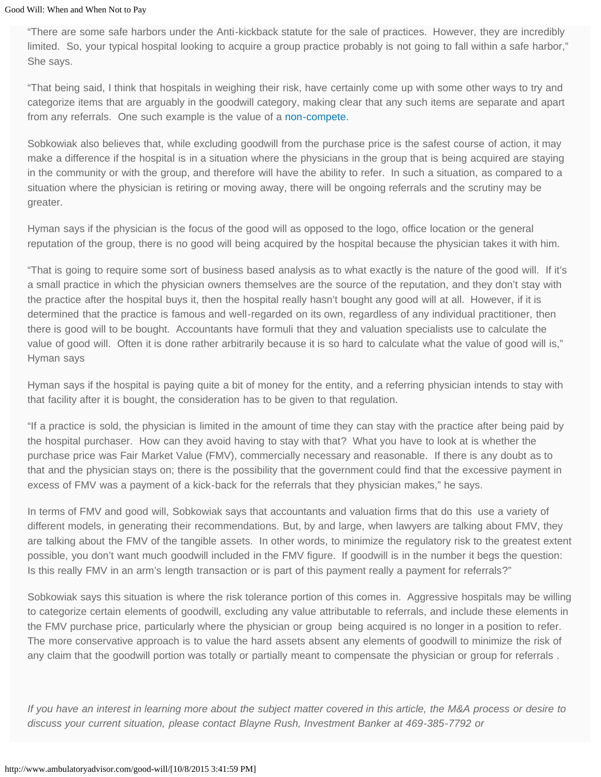"There are some safe harbors under the Anti-kickback statute for the sale of practices. However, they are incredibly limited. So, your typical hospital looking to acquire a group practice probably is not going to fall within a safe harbor," She says.

"That being said, I think that hospitals in weighing their risk, have certainly come up with some other ways to try and categorize items that are arguably in the goodwill category, making clear that any such items are separate and apart from any referrals. One such example is the value of a [non-compete.](http://www.ambulatoryadvisor.com/non-competes-and-the-urgent-care-acquisition/)

Sobkowiak also believes that, while excluding goodwill from the purchase price is the safest course of action, it may make a difference if the hospital is in a situation where the physicians in the group that is being acquired are staying in the community or with the group, and therefore will have the ability to refer. In such a situation, as compared to a situation where the physician is retiring or moving away, there will be ongoing referrals and the scrutiny may be greater.

Hyman says if the physician is the focus of the good will as opposed to the logo, office location or the general reputation of the group, there is no good will being acquired by the hospital because the physician takes it with him.

"That is going to require some sort of business based analysis as to what exactly is the nature of the good will. If it's a small practice in which the physician owners themselves are the source of the reputation, and they don't stay with the practice after the hospital buys it, then the hospital really hasn't bought any good will at all. However, if it is determined that the practice is famous and well-regarded on its own, regardless of any individual practitioner, then there is good will to be bought. Accountants have formuli that they and valuation specialists use to calculate the value of good will. Often it is done rather arbitrarily because it is so hard to calculate what the value of good will is," Hyman says

Hyman says if the hospital is paying quite a bit of money for the entity, and a referring physician intends to stay with that facility after it is bought, the consideration has to be given to that regulation.

"If a practice is sold, the physician is limited in the amount of time they can stay with the practice after being paid by the hospital purchaser. How can they avoid having to stay with that? What you have to look at is whether the purchase price was Fair Market Value (FMV), commercially necessary and reasonable. If there is any doubt as to that and the physician stays on; there is the possibility that the government could find that the excessive payment in excess of FMV was a payment of a kick-back for the referrals that they physician makes," he says.

In terms of FMV and good will, Sobkowiak says that accountants and valuation firms that do this use a variety of different models, in generating their recommendations. But, by and large, when lawyers are talking about FMV, they are talking about the FMV of the tangible assets. In other words, to minimize the regulatory risk to the greatest extent possible, you don't want much goodwill included in the FMV figure. If goodwill is in the number it begs the question: Is this really FMV in an arm's length transaction or is part of this payment really a payment for referrals?"

Sobkowiak says this situation is where the risk tolerance portion of this comes in. Aggressive hospitals may be willing to categorize certain elements of goodwill, excluding any value attributable to referrals, and include these elements in the FMV purchase price, particularly where the physician or group being acquired is no longer in a position to refer. The more conservative approach is to value the hard assets absent any elements of goodwill to minimize the risk of any claim that the goodwill portion was totally or partially meant to compensate the physician or group for referrals .

*If you have an interest in learning more about the subject matter covered in this article, the M&A process or desire to discuss your current situation, please contact Blayne Rush, Investment Banker at 469-385-7792 or*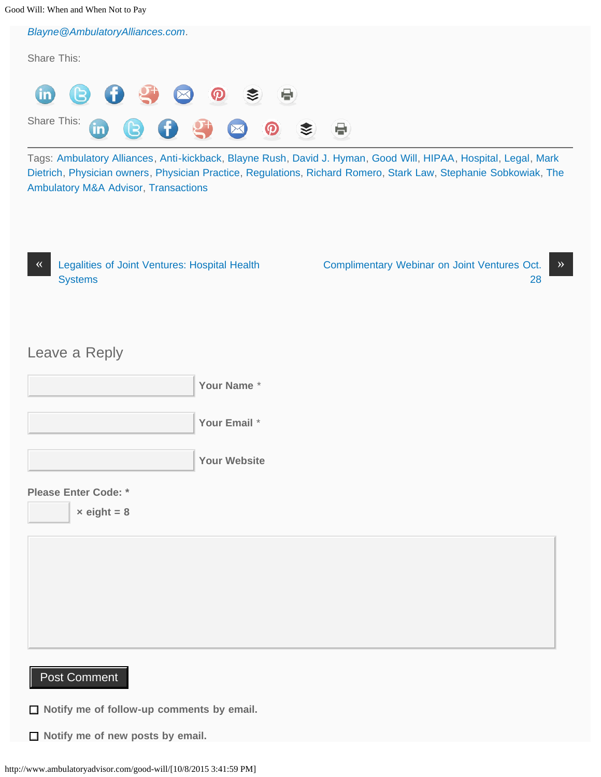Good Will: When and When Not to Pay

*[Blayne@AmbulatoryAlliances.com](mailto:Blayne@AmbulatoryAlliances.com).*

Share This: (in Share This:  $\bigoplus$ m

Tags: [Ambulatory Alliances](http://www.ambulatoryadvisor.com/tag/ambulatory-alliances/), [Anti-kickback,](http://www.ambulatoryadvisor.com/tag/anti-kickback/) [Blayne Rush,](http://www.ambulatoryadvisor.com/tag/blayne-rush/) [David J. Hyman,](http://www.ambulatoryadvisor.com/tag/david-j-hyman/) [Good Will,](http://www.ambulatoryadvisor.com/tag/good-will/) [HIPAA,](http://www.ambulatoryadvisor.com/tag/hipaa/) [Hospital,](http://www.ambulatoryadvisor.com/tag/hospital/) [Legal](http://www.ambulatoryadvisor.com/tag/legal/), [Mark](http://www.ambulatoryadvisor.com/tag/mark-dietrich/) [Dietrich,](http://www.ambulatoryadvisor.com/tag/mark-dietrich/) [Physician owners,](http://www.ambulatoryadvisor.com/tag/physician-owners/) [Physician Practice,](http://www.ambulatoryadvisor.com/tag/physician-practice/) [Regulations,](http://www.ambulatoryadvisor.com/tag/regulations/) [Richard Romero](http://www.ambulatoryadvisor.com/tag/richard-romero/), [Stark Law,](http://www.ambulatoryadvisor.com/tag/stark-law/) [Stephanie Sobkowiak,](http://www.ambulatoryadvisor.com/tag/stephanie-sobkowiak/) [The](http://www.ambulatoryadvisor.com/tag/the-ambulatory-ma-advisor/) [Ambulatory M&A Advisor,](http://www.ambulatoryadvisor.com/tag/the-ambulatory-ma-advisor/) [Transactions](http://www.ambulatoryadvisor.com/tag/transactions/)

| 《 | Legalities of Joint Ventures: Hospital Health |
|---|-----------------------------------------------|
|   | <b>Systems</b>                                |

[Complimentary Webinar on Joint Ventures Oct.](http://www.ambulatoryadvisor.com/joint-venture-webinar/) >> [28](http://www.ambulatoryadvisor.com/joint-venture-webinar/)

### Leave a Reply





 $\times$  eight = 8

### Post Comment

**Notify me of follow-up comments by email.**

**Notify me of new posts by email.**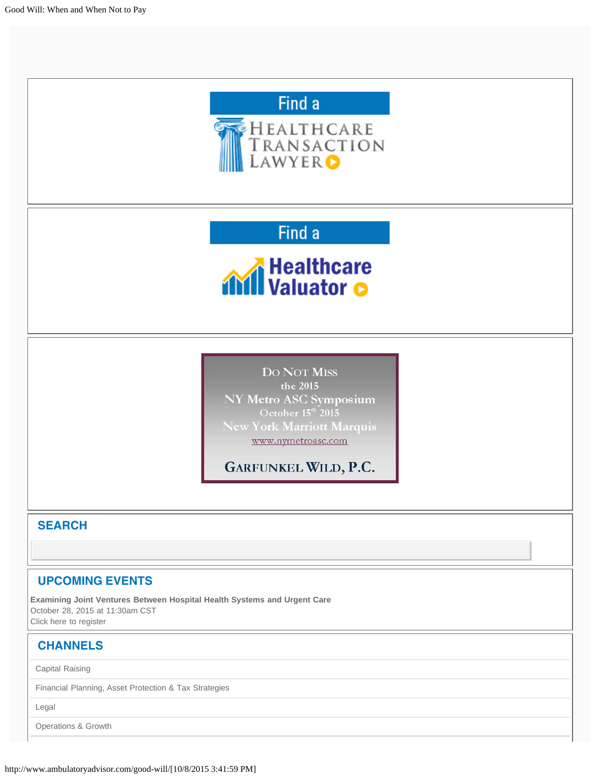<span id="page-4-0"></span>

[Operations & Growth](http://www.ambulatoryadvisor.com/category/operations/)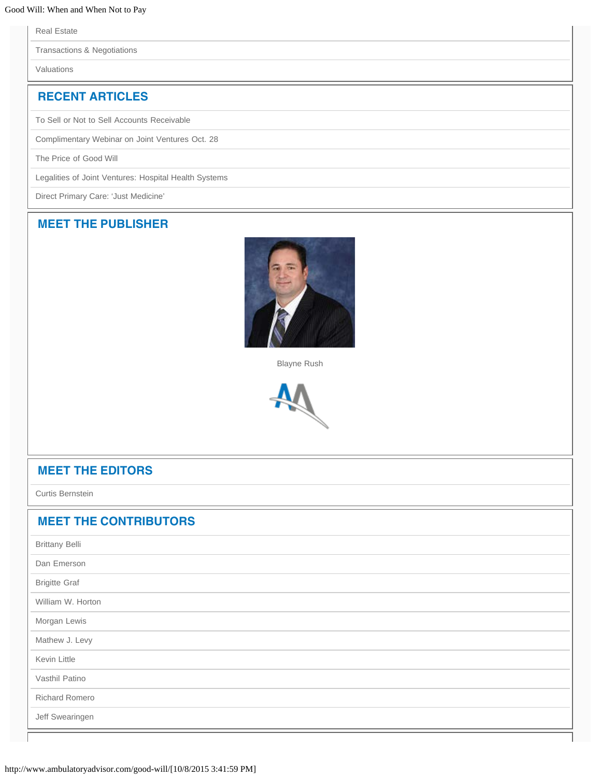[Real Estate](http://www.ambulatoryadvisor.com/category/real-estate/)

[Transactions & Negotiations](http://www.ambulatoryadvisor.com/category/transactions-negotiations/)

[Valuations](http://www.ambulatoryadvisor.com/category/valuations/)

### **RECENT ARTICLES**

[To Sell or Not to Sell Accounts Receivable](http://www.ambulatoryadvisor.com/accounts-receivable/)

[Complimentary Webinar on Joint Ventures Oct. 28](http://www.ambulatoryadvisor.com/joint-venture-webinar/)

[The Price of Good Will](#page-0-0)

[Legalities of Joint Ventures: Hospital Health Systems](http://www.ambulatoryadvisor.com/joint-ventures/)

[Direct Primary Care: 'Just Medicine'](http://www.ambulatoryadvisor.com/direct-primary-care/)

#### **[MEET THE PUBLISHER](http://www.ambulatoryadvisor.com/publisher/)**



[Blayne Rush](http://www.ambulatoryadvisor.com/publisher/)



#### **[MEET THE EDITORS](http://www.ambulatoryadvisor.com/editors)**

[Curtis Bernstein](http://www.ambulatoryadvisor.com/editors/)

#### **[MEET THE CONTRIBUTORS](http://www.ambulatoryadvisor.com/contributors-urgent-care-start-up-consultant)**

| <b>Brittany Belli</b> |  |  |
|-----------------------|--|--|
| Dan Emerson           |  |  |
| <b>Brigitte Graf</b>  |  |  |
| William W. Horton     |  |  |
| Morgan Lewis          |  |  |
| Mathew J. Levy        |  |  |
| <b>Kevin Little</b>   |  |  |
| Vasthil Patino        |  |  |
| <b>Richard Romero</b> |  |  |
| Jeff Swearingen       |  |  |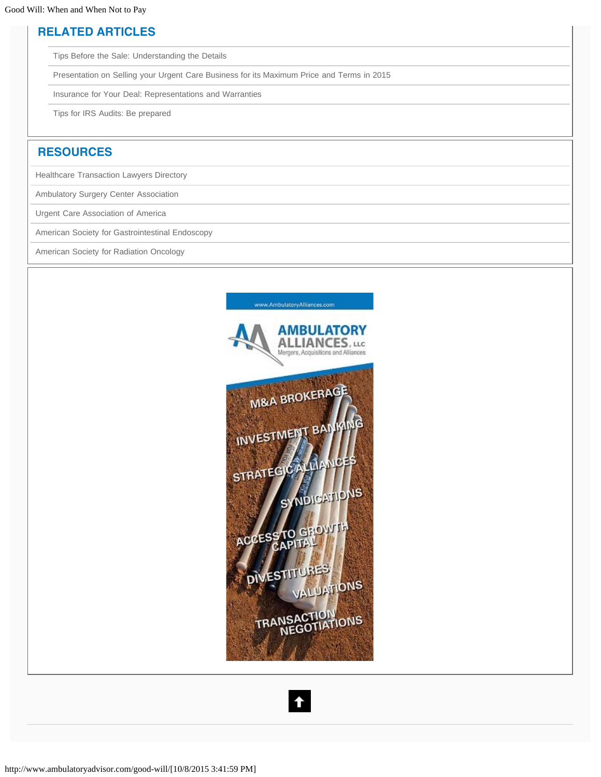#### **RELATED ARTICLES**

[Tips Before the Sale: Understanding the Details](http://www.ambulatoryadvisor.com/tips-before-the-sale/)

[Presentation on Selling your Urgent Care Business for its Maximum Price and Terms in 2015](http://www.ambulatoryadvisor.com/presentation-on-selling-your-urgent-care-business-for-its-maximum-price-and-terms-in-2015/)

[Insurance for Your Deal: Representations and Warranties](http://www.ambulatoryadvisor.com/representations-and-warranties-in-a-transaction/)

[Tips for IRS Audits: Be prepared](http://www.ambulatoryadvisor.com/tips-for-irs-audits/)

#### **RESOURCES**

[Healthcare Transaction Lawyers Directory](http://www.healthcaretransactionlawyers.com/)

[Ambulatory Surgery Center Association](http://www.ascassociation.org/)

[Urgent Care Association of America](http://www.ucaoa.org/)

[American Society for Gastrointestinal Endoscopy](http://www.asge.org/)

[American Society for Radiation Oncology](http://www.astro.org/)



#### $\bullet$